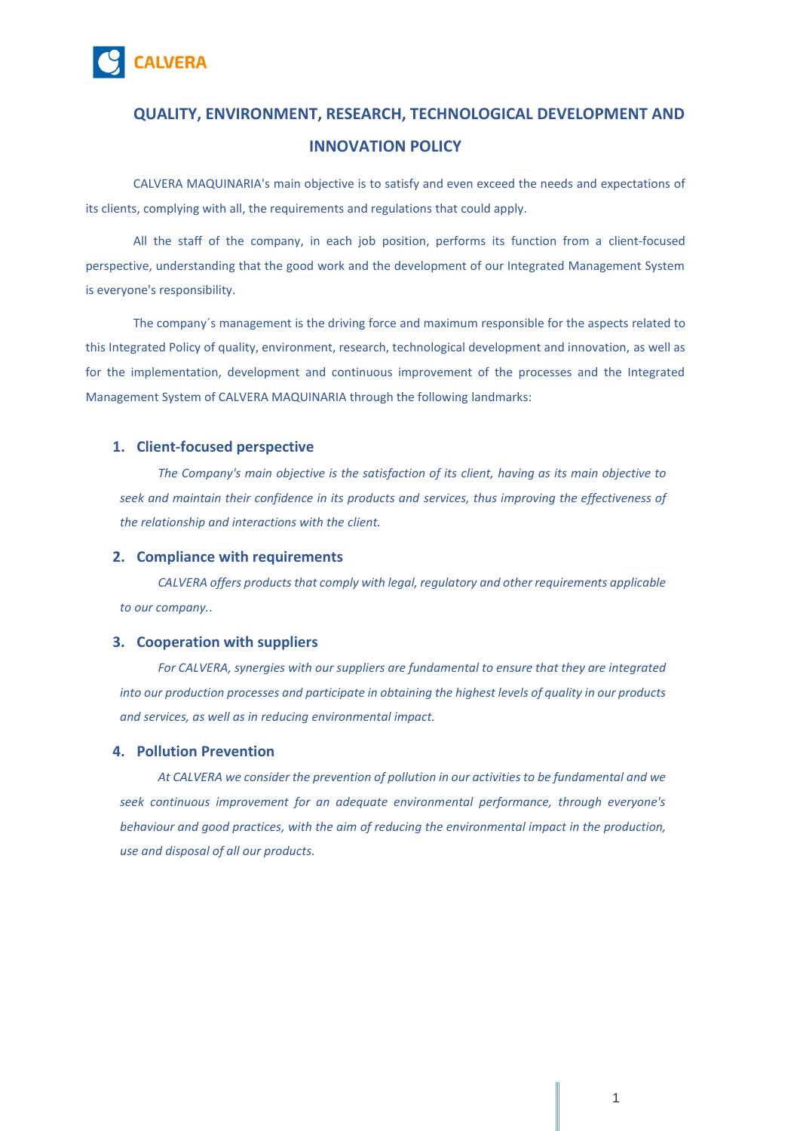

# **QUALITY, ENVIRONMENT, RESEARCH, TECHNOLOGICAL DEVELOPMENT AND INNOVATION POLICY**

CALVERA MAQUINARIA's main objective is to satisfy and even exceed the needs and expectations of its clients, complying with all, the requirements and regulations that could apply.

All the staff of the company, in each job position, performs its function from a client-focused perspective, understanding that the good work and the development of our Integrated Management System is everyone's responsibility.

The company´s management is the driving force and maximum responsible for the aspects related to this Integrated Policy of quality, environment, research, technological development and innovation, as well as for the implementation, development and continuous improvement of the processes and the Integrated Management System of CALVERA MAQUINARIA through the following landmarks:

# **1. Client-focused perspective**

*The Company's main objective is the satisfaction of its client, having as its main objective to seek and maintain their confidence in its products and services, thus improving the effectiveness of the relationship and interactions with the client.*

#### **2. Compliance with requirements**

*CALVERA offers products that comply with legal, regulatory and other requirements applicable to our company.*.

# **3. Cooperation with suppliers**

*For CALVERA, synergies with our suppliers are fundamental to ensure that they are integrated into our production processes and participate in obtaining the highest levels of quality in our products and services, as well as in reducing environmental impact.*

## **4. Pollution Prevention**

*At CALVERA we consider the prevention of pollution in our activities to be fundamental and we seek continuous improvement for an adequate environmental performance, through everyone's behaviour and good practices, with the aim of reducing the environmental impact in the production, use and disposal of all our products.*